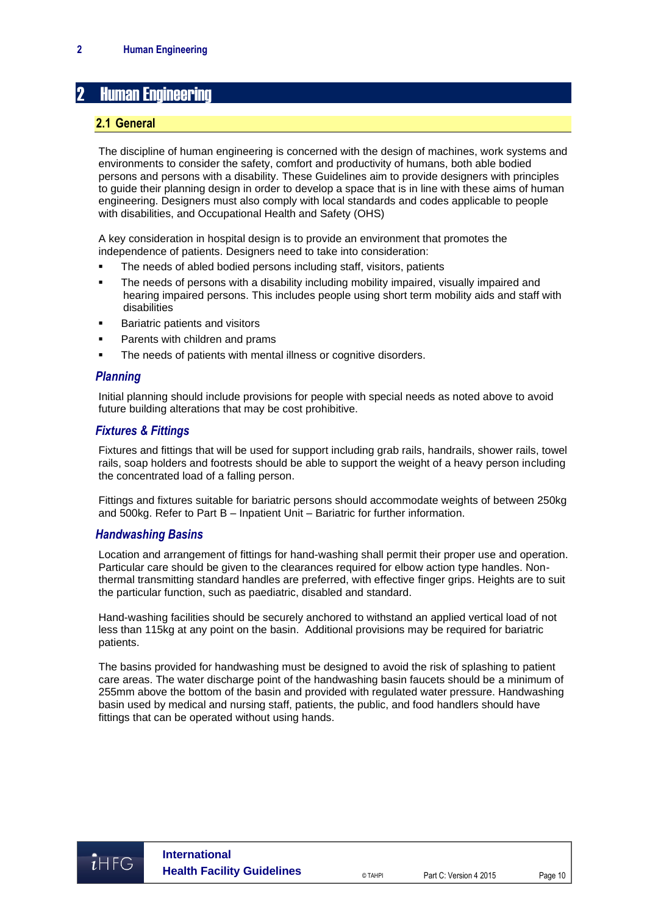# **Human Engineering**

#### **2.1 General**

The discipline of human engineering is concerned with the design of machines, work systems and environments to consider the safety, comfort and productivity of humans, both able bodied persons and persons with a disability. These Guidelines aim to provide designers with principles to guide their planning design in order to develop a space that is in line with these aims of human engineering. Designers must also comply with local standards and codes applicable to people with disabilities, and Occupational Health and Safety (OHS)

A key consideration in hospital design is to provide an environment that promotes the independence of patients. Designers need to take into consideration:

- The needs of abled bodied persons including staff, visitors, patients
- **•** The needs of persons with a disability including mobility impaired, visually impaired and hearing impaired persons. This includes people using short term mobility aids and staff with disabilities
- **Bariatric patients and visitors**
- Parents with children and prams
- The needs of patients with mental illness or cognitive disorders.

## *Planning*

Initial planning should include provisions for people with special needs as noted above to avoid future building alterations that may be cost prohibitive.

### *Fixtures & Fittings*

Fixtures and fittings that will be used for support including grab rails, handrails, shower rails, towel rails, soap holders and footrests should be able to support the weight of a heavy person including the concentrated load of a falling person.

Fittings and fixtures suitable for bariatric persons should accommodate weights of between 250kg and 500kg. Refer to Part B – Inpatient Unit – Bariatric for further information.

#### *Handwashing Basins*

Location and arrangement of fittings for hand-washing shall permit their proper use and operation. Particular care should be given to the clearances required for elbow action type handles. Nonthermal transmitting standard handles are preferred, with effective finger grips. Heights are to suit the particular function, such as paediatric, disabled and standard.

Hand-washing facilities should be securely anchored to withstand an applied vertical load of not less than 115kg at any point on the basin. Additional provisions may be required for bariatric patients.

The basins provided for handwashing must be designed to avoid the risk of splashing to patient care areas. The water discharge point of the handwashing basin faucets should be a minimum of 255mm above the bottom of the basin and provided with regulated water pressure. Handwashing basin used by medical and nursing staff, patients, the public, and food handlers should have fittings that can be operated without using hands.